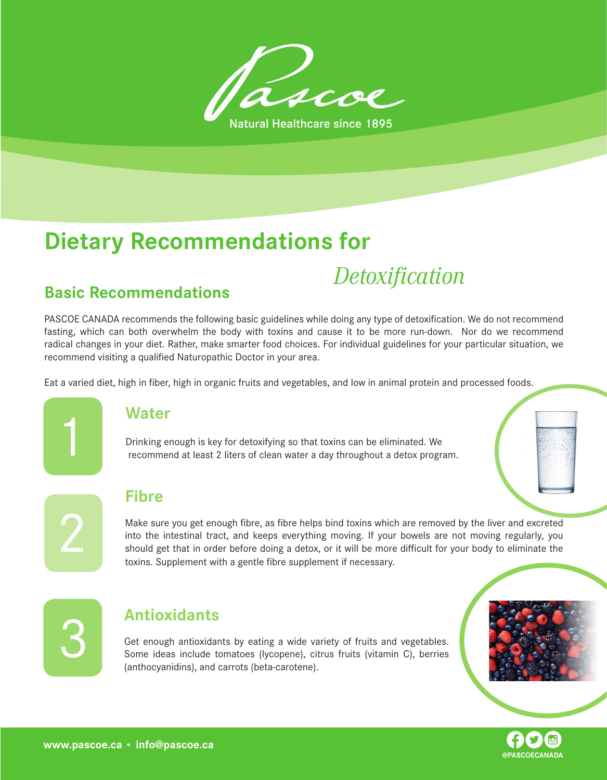

## **Dietary Recommendations for**

# *Detoxification* **Basic Recommendations**

PASCOE CANADA recommends the following basic guidelines while doing any type of detoxification. We do not recommend fasting, which can both overwhelm the body with toxins and cause it to be more run-down. Nor do we recommend radical changes in your diet. Rather, make smarter food choices. For individual guidelines for your particular situation, we recommend visiting a qualified Naturopathic Doctor in your area.

Eat a varied diet, high in fiber, high in organic fruits and vegetables, and low in animal protein and processed foods.



2

#### **Water**

Drinking enough is key for detoxifying so that toxins can be eliminated. We recommend at least 2 liters of clean water a day throughout a detox program.



#### **Fibre**

Make sure you get enough fibre, as fibre helps bind toxins which are removed by the liver and excreted into the intestinal tract, and keeps everything moving. If your bowels are not moving regularly, you should get that in order before doing a detox, or it will be more difficult for your body to eliminate the toxins. Supplement with a gentle fibre supplement if necessary.



#### 3 **Antioxidants**

Get enough antioxidants by eating a wide variety of fruits and vegetables. Some ideas include tomatoes (lycopene), citrus fruits (vitamin C), berries (anthocyanidins), and carrots (beta-carotene).